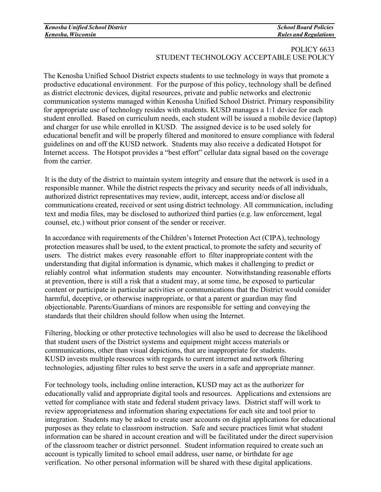## POLICY 6633 STUDENT TECHNOLOGY ACCEPTABLE USE POLICY

The Kenosha Unified School District expects students to use technology in ways that promote a productive educational environment. For the purpose of this policy, technology shall be defined as district electronic devices, digital resources, private and public networks and electronic communication systems managed within Kenosha Unified School District. Primary responsibility for appropriate use of technology resides with students. KUSD manages a 1:1 device for each student enrolled. Based on curriculum needs, each student will be issued a mobile device (laptop) and charger for use while enrolled in KUSD. The assigned device is to be used solely for educational benefit and will be properly filtered and monitored to ensure compliance with federal guidelines on and off the KUSD network. Students may also receive a dedicated Hotspot for Internet access. The Hotspot provides a "best effort" cellular data signal based on the coverage from the carrier.

It is the duty of the district to maintain system integrity and ensure that the network is used in a responsible manner. While the district respects the privacy and security needs of all individuals, authorized district representatives may review, audit, intercept, access and/or disclose all communications created, received or sent using district technology. All communication, including text and media files, may be disclosed to authorized third parties (e.g. law enforcement, legal counsel, etc.) without prior consent of the sender or receiver.

In accordance with requirements of the Children's Internet Protection Act (CIPA), technology protection measures shall be used, to the extent practical, to promote the safety and security of users. The district makes every reasonable effort to filter inappropriate content with the understanding that digital information is dynamic, which makes it challenging to predict or reliably control what information students may encounter. Notwithstanding reasonable efforts at prevention, there is still a risk that a student may, at some time, be exposed to particular content or participate in particular activities or communications that the District would consider harmful, deceptive, or otherwise inappropriate, or that a parent or guardian may find objectionable. Parents/Guardians of minors are responsible for setting and conveying the standards that their children should follow when using the Internet.

Filtering, blocking or other protective technologies will also be used to decrease the likelihood that student users of the District systems and equipment might access materials or communications, other than visual depictions, that are inappropriate for students. KUSD invests multiple resources with regards to current internet and network filtering technologies, adjusting filter rules to best serve the users in a safe and appropriate manner.

For technology tools, including online interaction, KUSD may act as the authorizer for educationally valid and appropriate digital tools and resources. Applications and extensions are vetted for compliance with state and federal student privacy laws. District staff will work to review appropriateness and information sharing expectations for each site and tool prior to integration. Students may be asked to create user accounts on digital applications for educational purposes as they relate to classroom instruction. Safe and secure practices limit what student information can be shared in account creation and will be facilitated under the direct supervision of the classroom teacher or district personnel. Student information required to create such an account is typically limited to school email address, user name, or birthdate for age verification. No other personal information will be shared with these digital applications.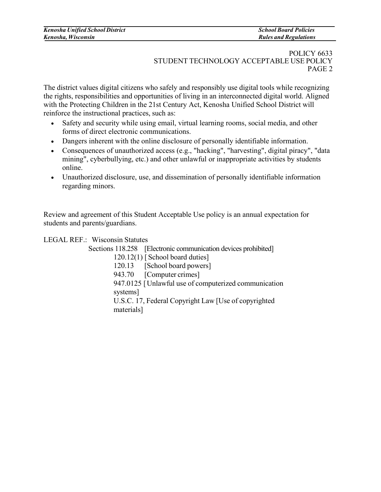## POLICY 6633 STUDENT TECHNOLOGY ACCEPTABLE USE POLICY PAGE 2

The district values digital citizens who safely and responsibly use digital tools while recognizing the rights, responsibilities and opportunities of living in an interconnected digital world. Aligned with the Protecting Children in the 21st Century Act, Kenosha Unified School District will reinforce the instructional practices, such as:

- Safety and security while using email, virtual learning rooms, social media, and other forms of direct electronic communications.
- Dangers inherent with the online disclosure of personally identifiable information.
- Consequences of unauthorized access (e.g., "hacking", "harvesting", digital piracy", "data mining", cyberbullying, etc.) and other unlawful or inappropriate activities by students online.
- Unauthorized disclosure, use, and dissemination of personally identifiable information regarding minors.

Review and agreement of this Student Acceptable Use policy is an annual expectation for students and parents/guardians.

LEGAL REF.: Wisconsin Statutes

Sections 118.258 [Electronic communication devices prohibited]

120.12(1) [ School board duties]

120.13 [School board powers]

943.70 [Computer crimes]

947.0125 [Unlawful use of computerized communication

systems]

U.S.C. 17, Federal Copyright Law [Use of copyrighted materials]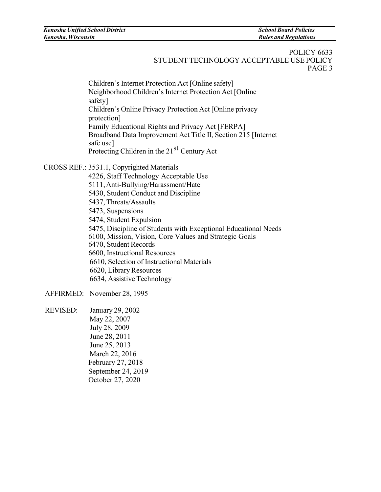Children's Internet Protection Act [Online safety] Neighborhood Children's Internet Protection Act [Online safety] Children's Online Privacy Protection Act [Online privacy protection] Family Educational Rights and Privacy Act [FERPA] Broadband Data Improvement Act Title II, Section 215 [Internet safe use] Protecting Children in the 21<sup>st</sup> Century Act

CROSS REF.: 3531.1, Copyrighted Materials

- 4226, Staff Technology Acceptable Use
- 5111,Anti-Bullying/Harassment/Hate
- 5430, Student Conduct and Discipline
- 5437, Threats/Assaults
- 5473, Suspensions
- 5474, Student Expulsion
- 5475, Discipline of Students with Exceptional Educational Needs
- 6100, Mission, Vision, Core Values and Strategic Goals
- 6470, Student Records
- 6600, Instructional Resources
- 6610, Selection of Instructional Materials
- 6620, Library Resources
- 6634, Assistive Technology

AFFIRMED: November 28, 1995

REVISED: January 29, 2002 May 22, 2007 July 28, 2009 June 28, 2011 June 25, 2013 March 22, 2016 February 27, 2018 September 24, 2019 October 27, 2020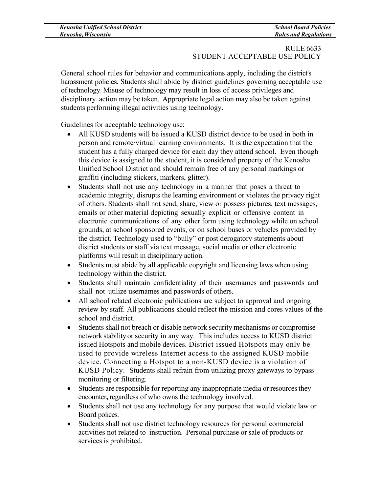## RULE 6633 STUDENT ACCEPTABLE USE POLICY

General school rules for behavior and communications apply, including the district's harassment policies. Students shall abide by district guidelines governing acceptable use of technology. Misuse of technology may result in loss of access privileges and disciplinary action may be taken. Appropriate legal action may also be taken against students performing illegal activities using technology.

Guidelines for acceptable technology use:

- All KUSD students will be issued a KUSD district device to be used in both in person and remote/virtual learning environments. It is the expectation that the student has a fully charged device for each day they attend school. Even though this device is assigned to the student, it is considered property of the Kenosha Unified School District and should remain free of any personal markings or graffiti (including stickers, markers, glitter).
- Students shall not use any technology in a manner that poses a threat to academic integrity, disrupts the learning environment or violates the privacy right of others. Students shall not send, share, view or possess pictures, text messages, emails or other material depicting sexually explicit or offensive content in electronic communications of any other form using technology while on school grounds, at school sponsored events, or on school buses or vehicles provided by the district. Technology used to "bully" or post derogatory statements about district students or staff via text message, social media or other electronic platforms will result in disciplinary action.
- Students must abide by all applicable copyright and licensing laws when using technology within the district.
- Students shall maintain confidentiality of their usernames and passwords and shall not utilize usernames and passwords of others.
- All school related electronic publications are subject to approval and ongoing review by staff. All publications should reflect the mission and cores values of the school and district.
- Students shall not breach or disable network security mechanisms or compromise network stability or security in any way. This includes access to KUSD district issued Hotspots and mobile devices. District issued Hotspots may only be used to provide wireless Internet access to the assigned KUSD mobile device. Connecting a Hotspot to a non-KUSD device is a violation of KUSD Policy. Students shall refrain from utilizing proxy gateways to bypass monitoring or filtering.
- Students are responsible for reporting any inappropriate media or resources they encounter**,** regardless of who owns the technology involved.
- Students shall not use any technology for any purpose that would violate law or Board polices.
- Students shall not use district technology resources for personal commercial activities not related to instruction. Personal purchase or sale of products or services is prohibited.